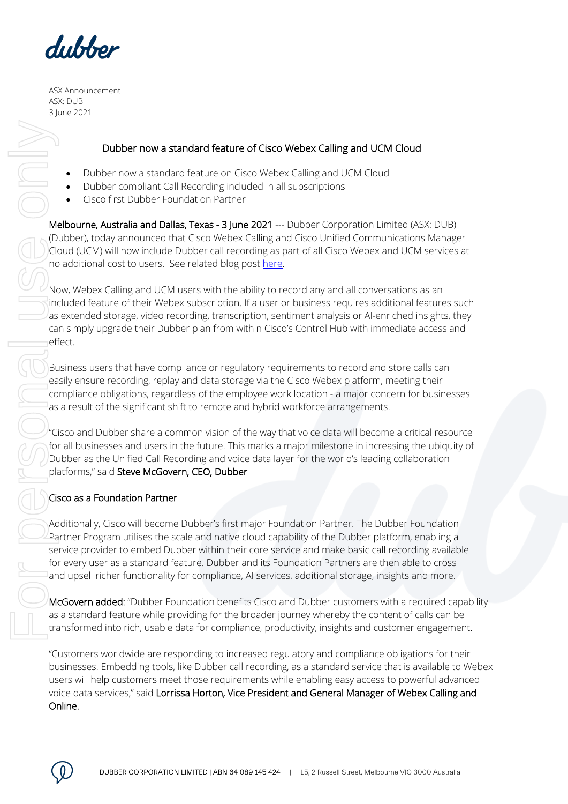

ASX Announcement ASX: DUB 3 June 2021

### Dubber now a standard feature of Cisco Webex Calling and UCM Cloud

- Dubber now a standard feature on Cisco Webex Calling and UCM Cloud
- Dubber compliant Call Recording included in all subscriptions
- Cisco first Dubber Foundation Partner

Melbourne, Australia and Dallas, Texas - 3 June 2021 --- Dubber Corporation Limited (ASX: DUB) (Dubber), today announced that Cisco Webex Calling and Cisco Unified Communications Manager Cloud (UCM) will now include Dubber call recording as part of all Cisco Webex and UCM services at no additional cost to users. See related blog post here.

Now, Webex Calling and UCM users with the ability to record any and all conversations as an included feature of their Webex subscription. If a user or business requires additional features such as extended storage, video recording, transcription, sentiment analysis or AI-enriched insights, they can simply upgrade their Dubber plan from within Cisco's Control Hub with immediate access and effect.

Business users that have compliance or regulatory requirements to record and store calls can easily ensure recording, replay and data storage via the Cisco Webex platform, meeting their compliance obligations, regardless of the employee work location - a major concern for businesses as a result of the significant shift to remote and hybrid workforce arrangements.

"Cisco and Dubber share a common vision of the way that voice data will become a critical resource for all businesses and users in the future. This marks a major milestone in increasing the ubiquity of Dubber as the Unified Call Recording and voice data layer for the world's leading collaboration platforms," said Steve McGovern, CEO, Dubber

# Cisco as a Foundation Partner

Additionally, Cisco will become Dubber's first major Foundation Partner. The Dubber Foundation Partner Program utilises the scale and native cloud capability of the Dubber platform, enabling a service provider to embed Dubber within their core service and make basic call recording available for every user as a standard feature. Dubber and its Foundation Partners are then able to cross and upsell richer functionality for compliance, AI services, additional storage, insights and more.

McGovern added: "Dubber Foundation benefits Cisco and Dubber customers with a required capability as a standard feature while providing for the broader journey whereby the content of calls can be transformed into rich, usable data for compliance, productivity, insights and customer engagement.

"Customers worldwide are responding to increased regulatory and compliance obligations for their businesses. Embedding tools, like Dubber call recording, as a standard service that is available to Webex users will help customers meet those requirements while enabling easy access to powerful advanced voice data services," said Lorrissa Horton, Vice President and General Manager of Webex Calling and Online.

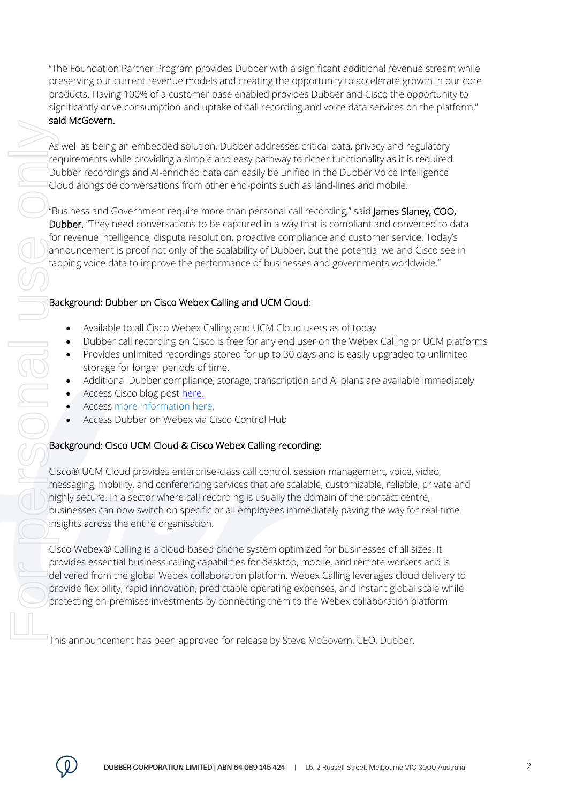"The Foundation Partner Program provides Dubber with a significant additional revenue stream while preserving our current revenue models and creating the opportunity to accelerate growth in our core products. Having 100% of a customer base enabled provides Dubber and Cisco the opportunity to significantly drive consumption and uptake of call recording and voice data services on the platform," said McGovern.

As well as being an embedded solution, Dubber addresses critical data, privacy and regulatory requirements while providing a simple and easy pathway to richer functionality as it is required. Dubber recordings and AI-enriched data can easily be unified in the Dubber Voice Intelligence Cloud alongside conversations from other end-points such as land-lines and mobile.

"Business and Government require more than personal call recording," said James Slaney, COO, Dubber. "They need conversations to be captured in a way that is compliant and converted to data for revenue intelligence, dispute resolution, proactive compliance and customer service. Today's announcement is proof not only of the scalability of Dubber, but the potential we and Cisco see in tapping voice data to improve the performance of businesses and governments worldwide."

# Background: Dubber on Cisco Webex Calling and UCM Cloud:

- Available to all Cisco Webex Calling and UCM Cloud users as of today
- Dubber call recording on Cisco is free for any end user on the Webex Calling or UCM platforms
- Provides unlimited recordings stored for up to 30 days and is easily upgraded to unlimited storage for longer periods of time.
- Additional Dubber compliance, storage, transcription and AI plans are available immediately
- Access Cisco blog post here.
- Access more information here.
- Access Dubber on Webex via Cisco Control Hub

### Background: Cisco UCM Cloud & Cisco Webex Calling recording:

Cisco® UCM Cloud provides enterprise-class call control, session management, voice, video, messaging, mobility, and conferencing services that are scalable, customizable, reliable, private and highly secure. In a sector where call recording is usually the domain of the contact centre, businesses can now switch on specific or all employees immediately paving the way for real-time insights across the entire organisation.

Cisco Webex® Calling is a cloud-based phone system optimized for businesses of all sizes. It provides essential business calling capabilities for desktop, mobile, and remote workers and is delivered from the global Webex collaboration platform. Webex Calling leverages cloud delivery to provide flexibility, rapid innovation, predictable operating expenses, and instant global scale while protecting on-premises investments by connecting them to the Webex collaboration platform.

This announcement has been approved for release by Steve McGovern, CEO, Dubber.